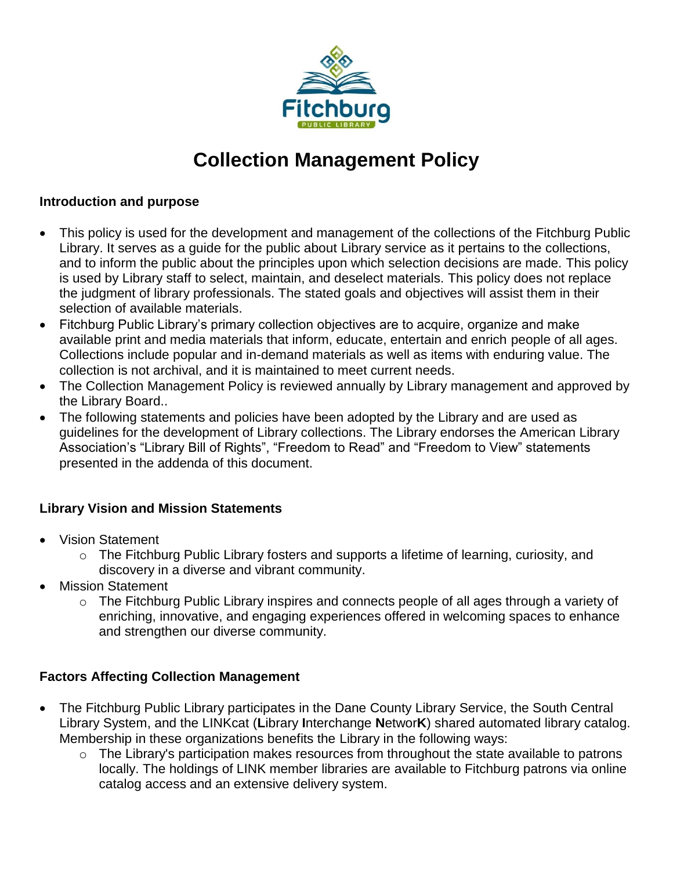

# **Collection Management Policy**

#### **Introduction and purpose**

- This policy is used for the development and management of the collections of the Fitchburg Public Library. It serves as a guide for the public about Library service as it pertains to the collections, and to inform the public about the principles upon which selection decisions are made. This policy is used by Library staff to select, maintain, and deselect materials. This policy does not replace the judgment of library professionals. The stated goals and objectives will assist them in their selection of available materials.
- Fitchburg Public Library's primary collection objectives are to acquire, organize and make available print and media materials that inform, educate, entertain and enrich people of all ages. Collections include popular and in-demand materials as well as items with enduring value. The collection is not archival, and it is maintained to meet current needs.
- The Collection Management Policy is reviewed annually by Library management and approved by the Library Board..
- The following statements and policies have been adopted by the Library and are used as guidelines for the development of Library collections. The Library endorses the American Library Association's "Library Bill of Rights", "Freedom to Read" and "Freedom to View" statements presented in the addenda of this document.

## **Library Vision and Mission Statements**

- Vision Statement
	- o The Fitchburg Public Library fosters and supports a lifetime of learning, curiosity, and discovery in a diverse and vibrant community.
- Mission Statement
	- o The Fitchburg Public Library inspires and connects people of all ages through a variety of enriching, innovative, and engaging experiences offered in welcoming spaces to enhance and strengthen our diverse community.

## **Factors Affecting Collection Management**

- The Fitchburg Public Library participates in the Dane County Library Service, the South Central Library System, and the LINKcat (**L**ibrary **I**nterchange **N**etwor**K**) shared automated library catalog. Membership in these organizations benefits the Library in the following ways:
	- o The Library's participation makes resources from throughout the state available to patrons locally. The holdings of LINK member libraries are available to Fitchburg patrons via online catalog access and an extensive delivery system.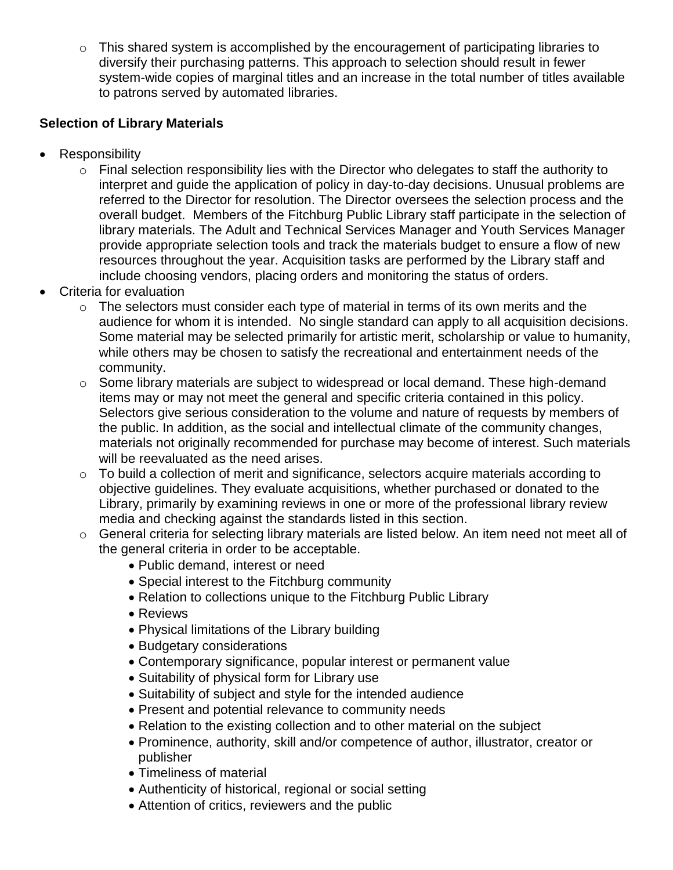o This shared system is accomplished by the encouragement of participating libraries to diversify their purchasing patterns. This approach to selection should result in fewer system-wide copies of marginal titles and an increase in the total number of titles available to patrons served by automated libraries.

## **Selection of Library Materials**

- Responsibility
	- o Final selection responsibility lies with the Director who delegates to staff the authority to interpret and guide the application of policy in day-to-day decisions. Unusual problems are referred to the Director for resolution. The Director oversees the selection process and the overall budget. Members of the Fitchburg Public Library staff participate in the selection of library materials. The Adult and Technical Services Manager and Youth Services Manager provide appropriate selection tools and track the materials budget to ensure a flow of new resources throughout the year. Acquisition tasks are performed by the Library staff and include choosing vendors, placing orders and monitoring the status of orders.
- Criteria for evaluation
	- $\circ$  The selectors must consider each type of material in terms of its own merits and the audience for whom it is intended. No single standard can apply to all acquisition decisions. Some material may be selected primarily for artistic merit, scholarship or value to humanity, while others may be chosen to satisfy the recreational and entertainment needs of the community.
	- o Some library materials are subject to widespread or local demand. These high-demand items may or may not meet the general and specific criteria contained in this policy. Selectors give serious consideration to the volume and nature of requests by members of the public. In addition, as the social and intellectual climate of the community changes, materials not originally recommended for purchase may become of interest. Such materials will be reevaluated as the need arises.
	- o To build a collection of merit and significance, selectors acquire materials according to objective guidelines. They evaluate acquisitions, whether purchased or donated to the Library, primarily by examining reviews in one or more of the professional library review media and checking against the standards listed in this section.
	- o General criteria for selecting library materials are listed below. An item need not meet all of the general criteria in order to be acceptable.
		- Public demand, interest or need
		- Special interest to the Fitchburg community
		- Relation to collections unique to the Fitchburg Public Library
		- Reviews
		- Physical limitations of the Library building
		- Budgetary considerations
		- Contemporary significance, popular interest or permanent value
		- Suitability of physical form for Library use
		- Suitability of subject and style for the intended audience
		- Present and potential relevance to community needs
		- Relation to the existing collection and to other material on the subject
		- Prominence, authority, skill and/or competence of author, illustrator, creator or publisher
		- Timeliness of material
		- Authenticity of historical, regional or social setting
		- Attention of critics, reviewers and the public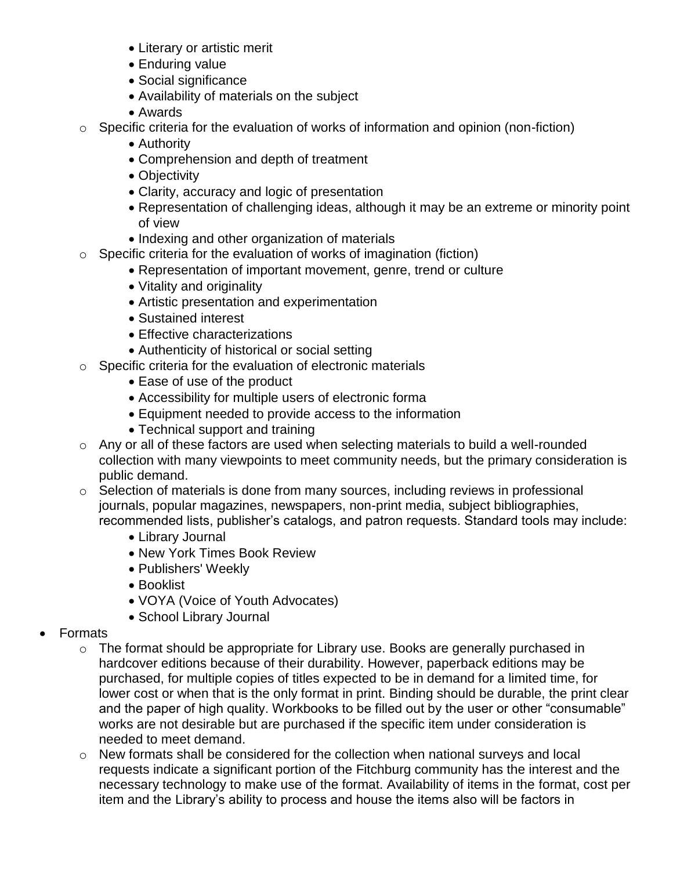- Literary or artistic merit
- Enduring value
- Social significance
- Availability of materials on the subject
- Awards
- o Specific criteria for the evaluation of works of information and opinion (non-fiction)
	- Authority
	- Comprehension and depth of treatment
	- Objectivity
	- Clarity, accuracy and logic of presentation
	- Representation of challenging ideas, although it may be an extreme or minority point of view
	- Indexing and other organization of materials
- o Specific criteria for the evaluation of works of imagination (fiction)
	- Representation of important movement, genre, trend or culture
	- Vitality and originality
	- Artistic presentation and experimentation
	- Sustained interest
	- **Effective characterizations**
	- Authenticity of historical or social setting
- o Specific criteria for the evaluation of electronic materials
	- Ease of use of the product
	- Accessibility for multiple users of electronic forma
	- Equipment needed to provide access to the information
	- Technical support and training
- o Any or all of these factors are used when selecting materials to build a well-rounded collection with many viewpoints to meet community needs, but the primary consideration is public demand.
- o Selection of materials is done from many sources, including reviews in professional journals, popular magazines, newspapers, non-print media, subject bibliographies, recommended lists, publisher's catalogs, and patron requests. Standard tools may include:
	- Library Journal
	- New York Times Book Review
	- Publishers' Weekly
	- Booklist
	- VOYA (Voice of Youth Advocates)
	- School Library Journal
- Formats
	- o The format should be appropriate for Library use. Books are generally purchased in hardcover editions because of their durability. However, paperback editions may be purchased, for multiple copies of titles expected to be in demand for a limited time, for lower cost or when that is the only format in print. Binding should be durable, the print clear and the paper of high quality. Workbooks to be filled out by the user or other "consumable" works are not desirable but are purchased if the specific item under consideration is needed to meet demand.
	- o New formats shall be considered for the collection when national surveys and local requests indicate a significant portion of the Fitchburg community has the interest and the necessary technology to make use of the format. Availability of items in the format, cost per item and the Library's ability to process and house the items also will be factors in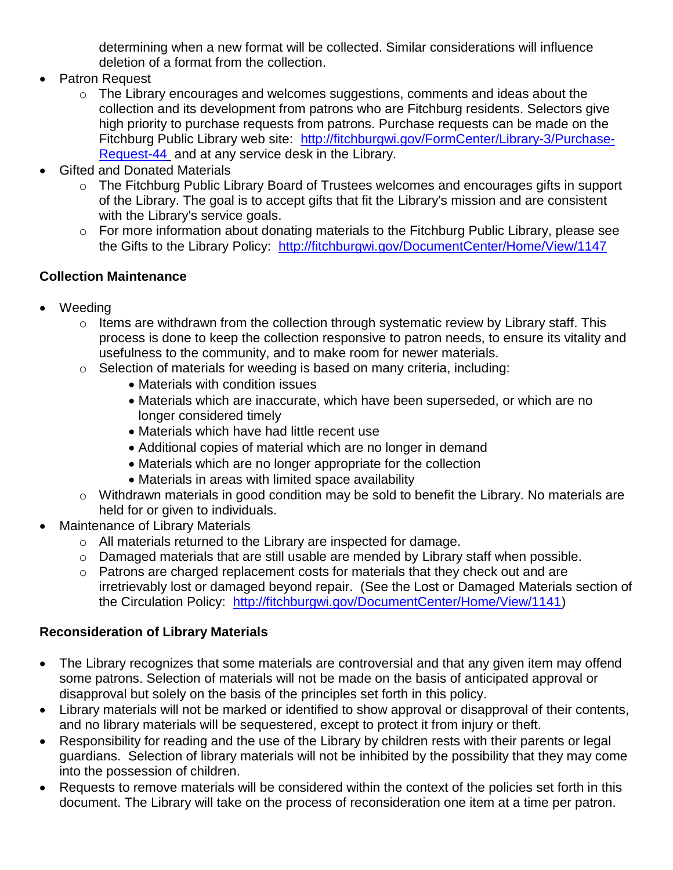determining when a new format will be collected. Similar considerations will influence deletion of a format from the collection.

- Patron Request
	- o The Library encourages and welcomes suggestions, comments and ideas about the collection and its development from patrons who are Fitchburg residents. Selectors give high priority to purchase requests from patrons. Purchase requests can be made on the Fitchburg Public Library web site: [http://fitchburgwi.gov/FormCenter/Library-3/Purchase-](http://fitchburgwi.gov/FormCenter/Library-3/Purchase-Request-44)[Request-44](http://fitchburgwi.gov/FormCenter/Library-3/Purchase-Request-44) and at any service desk in the Library.
- Gifted and Donated Materials
	- o The Fitchburg Public Library Board of Trustees welcomes and encourages gifts in support of the Library. The goal is to accept gifts that fit the Library's mission and are consistent with the Library's service goals.
	- o For more information about donating materials to the Fitchburg Public Library, please see the Gifts to the Library Policy: <http://fitchburgwi.gov/DocumentCenter/Home/View/1147>

# **Collection Maintenance**

- Weeding
	- o Items are withdrawn from the collection through systematic review by Library staff. This process is done to keep the collection responsive to patron needs, to ensure its vitality and usefulness to the community, and to make room for newer materials.
	- o Selection of materials for weeding is based on many criteria, including:
		- Materials with condition issues
		- Materials which are inaccurate, which have been superseded, or which are no longer considered timely
		- Materials which have had little recent use
		- Additional copies of material which are no longer in demand
		- Materials which are no longer appropriate for the collection
		- Materials in areas with limited space availability
	- o Withdrawn materials in good condition may be sold to benefit the Library. No materials are held for or given to individuals.
- Maintenance of Library Materials
	- o All materials returned to the Library are inspected for damage.
	- o Damaged materials that are still usable are mended by Library staff when possible.
	- o Patrons are charged replacement costs for materials that they check out and are irretrievably lost or damaged beyond repair. (See the Lost or Damaged Materials section of the Circulation Policy: [http://fitchburgwi.gov/DocumentCenter/Home/View/1141\)](http://fitchburgwi.gov/DocumentCenter/Home/View/1141)

# **Reconsideration of Library Materials**

- The Library recognizes that some materials are controversial and that any given item may offend some patrons. Selection of materials will not be made on the basis of anticipated approval or disapproval but solely on the basis of the principles set forth in this policy.
- Library materials will not be marked or identified to show approval or disapproval of their contents, and no library materials will be sequestered, except to protect it from injury or theft.
- Responsibility for reading and the use of the Library by children rests with their parents or legal guardians. Selection of library materials will not be inhibited by the possibility that they may come into the possession of children.
- Requests to remove materials will be considered within the context of the policies set forth in this document. The Library will take on the process of reconsideration one item at a time per patron.